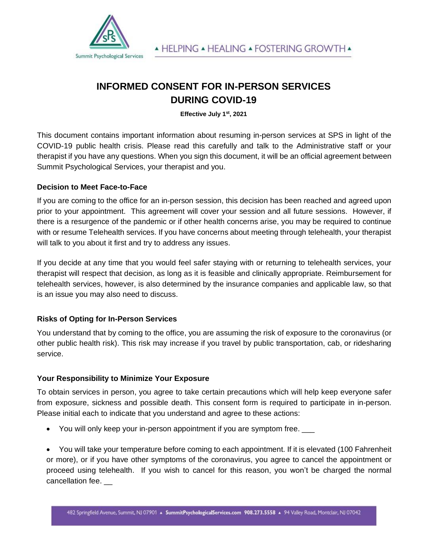

# **INFORMED CONSENT FOR IN-PERSON SERVICES DURING COVID-19**

**Effective July 1st, 2021** 

This document contains important information about resuming in-person services at SPS in light of the COVID-19 public health crisis. Please read this carefully and talk to the Administrative staff or your therapist if you have any questions. When you sign this document, it will be an official agreement between Summit Psychological Services, your therapist and you.

## **Decision to Meet Face-to-Face**

If you are coming to the office for an in-person session, this decision has been reached and agreed upon prior to your appointment. This agreement will cover your session and all future sessions. However, if there is a resurgence of the pandemic or if other health concerns arise, you may be required to continue with or resume Telehealth services. If you have concerns about meeting through telehealth, your therapist will talk to you about it first and try to address any issues.

If you decide at any time that you would feel safer staying with or returning to telehealth services, your therapist will respect that decision, as long as it is feasible and clinically appropriate. Reimbursement for telehealth services, however, is also determined by the insurance companies and applicable law, so that is an issue you may also need to discuss.

# **Risks of Opting for In-Person Services**

You understand that by coming to the office, you are assuming the risk of exposure to the coronavirus (or other public health risk). This risk may increase if you travel by public transportation, cab, or ridesharing service.

# **Your Responsibility to Minimize Your Exposure**

To obtain services in person, you agree to take certain precautions which will help keep everyone safer from exposure, sickness and possible death. This consent form is required to participate in in-person. Please initial each to indicate that you understand and agree to these actions:

• You will only keep your in-person appointment if you are symptom free.

• You will take your temperature before coming to each appointment. If it is elevated (100 Fahrenheit or more), or if you have other symptoms of the coronavirus, you agree to cancel the appointment or proceed using telehealth. If you wish to cancel for this reason, you won't be charged the normal cancellation fee.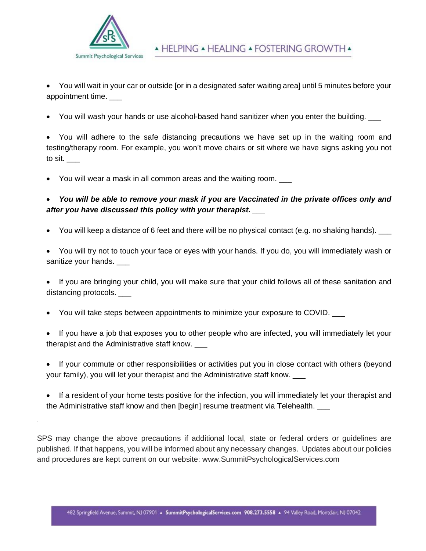

• You will wait in your car or outside [or in a designated safer waiting area] until 5 minutes before your appointment time.

• You will wash your hands or use alcohol-based hand sanitizer when you enter the building.

• You will adhere to the safe distancing precautions we have set up in the waiting room and testing/therapy room. For example, you won't move chairs or sit where we have signs asking you not to sit.  $\_\_$ 

• You will wear a mask in all common areas and the waiting room. \_\_\_

# • *You will be able to remove your mask if you are Vaccinated in the private offices only and after you have discussed this policy with your therapist. \_\_\_*

- You will keep a distance of 6 feet and there will be no physical contact (e.g. no shaking hands). \_\_\_
- You will try not to touch your face or eyes with your hands. If you do, you will immediately wash or sanitize your hands.

• If you are bringing your child, you will make sure that your child follows all of these sanitation and distancing protocols.

- You will take steps between appointments to minimize your exposure to COVID.
- If you have a job that exposes you to other people who are infected, you will immediately let your therapist and the Administrative staff know. \_\_\_
- If your commute or other responsibilities or activities put you in close contact with others (beyond your family), you will let your therapist and the Administrative staff know. \_\_\_
- If a resident of your home tests positive for the infection, you will immediately let your therapist and the Administrative staff know and then [begin] resume treatment via Telehealth.

SPS may change the above precautions if additional local, state or federal orders or guidelines are published. If that happens, you will be informed about any necessary changes. Updates about our policies and procedures are kept current on our website: www.SummitPsychologicalServices.com